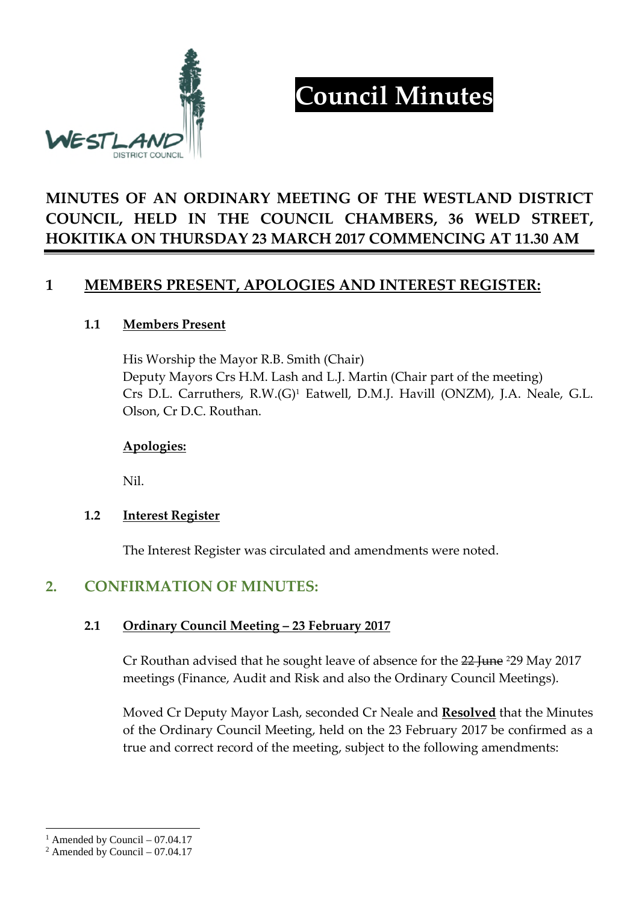

# **Council Minutes**

## **MINUTES OF AN ORDINARY MEETING OF THE WESTLAND DISTRICT COUNCIL, HELD IN THE COUNCIL CHAMBERS, 36 WELD STREET, HOKITIKA ON THURSDAY 23 MARCH 2017 COMMENCING AT 11.30 AM**

## **1 MEMBERS PRESENT, APOLOGIES AND INTEREST REGISTER:**

#### **1.1 Members Present**

His Worship the Mayor R.B. Smith (Chair) Deputy Mayors Crs H.M. Lash and L.J. Martin (Chair part of the meeting) Crs D.L. Carruthers, R.W.(G)<sup>1</sup> Eatwell, D.M.J. Havill (ONZM), J.A. Neale, G.L. Olson, Cr D.C. Routhan.

#### **Apologies:**

Nil.

#### **1.2 Interest Register**

The Interest Register was circulated and amendments were noted.

## **2. CONFIRMATION OF MINUTES:**

#### **2.1 Ordinary Council Meeting – 23 February 2017**

Cr Routhan advised that he sought leave of absence for the 22 June 229 May 2017 meetings (Finance, Audit and Risk and also the Ordinary Council Meetings).

Moved Cr Deputy Mayor Lash, seconded Cr Neale and **Resolved** that the Minutes of the Ordinary Council Meeting, held on the 23 February 2017 be confirmed as a true and correct record of the meeting, subject to the following amendments:

<sup>&</sup>lt;sup>1</sup> Amended by Council  $-07.04.17$ 

 $2$  Amended by Council – 07.04.17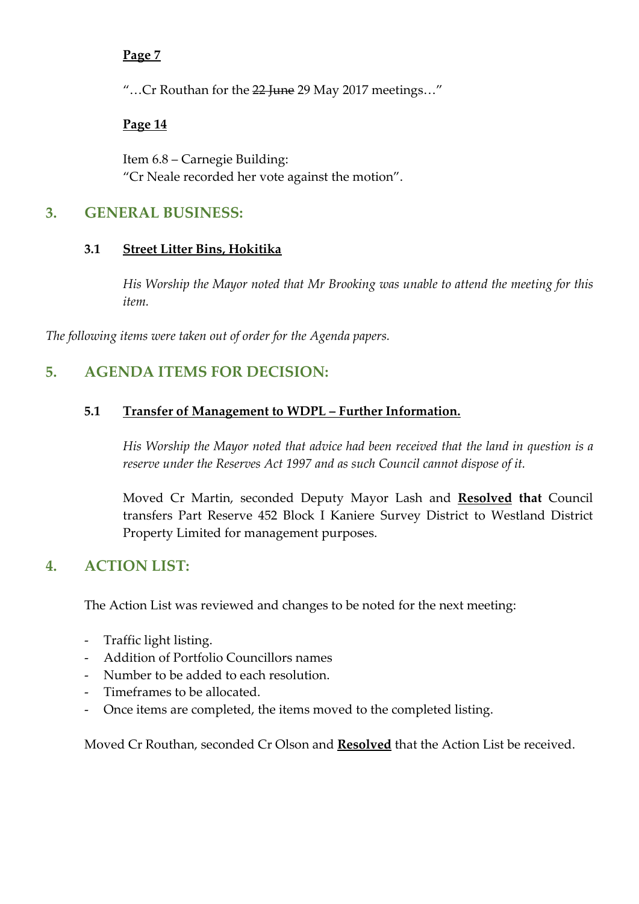#### **Page 7**

"...Cr Routhan for the 22 June 29 May 2017 meetings..."

#### **Page 14**

Item 6.8 – Carnegie Building: "Cr Neale recorded her vote against the motion".

#### **3. GENERAL BUSINESS:**

#### **3.1 Street Litter Bins, Hokitika**

*His Worship the Mayor noted that Mr Brooking was unable to attend the meeting for this item.* 

*The following items were taken out of order for the Agenda papers.* 

## **5. AGENDA ITEMS FOR DECISION:**

#### **5.1 Transfer of Management to WDPL – Further Information.**

*His Worship the Mayor noted that advice had been received that the land in question is a reserve under the Reserves Act 1997 and as such Council cannot dispose of it.* 

Moved Cr Martin, seconded Deputy Mayor Lash and **Resolved that** Council transfers Part Reserve 452 Block I Kaniere Survey District to Westland District Property Limited for management purposes.

## **4. ACTION LIST:**

The Action List was reviewed and changes to be noted for the next meeting:

- Traffic light listing.
- Addition of Portfolio Councillors names
- Number to be added to each resolution.
- Timeframes to be allocated.
- Once items are completed, the items moved to the completed listing.

Moved Cr Routhan, seconded Cr Olson and **Resolved** that the Action List be received.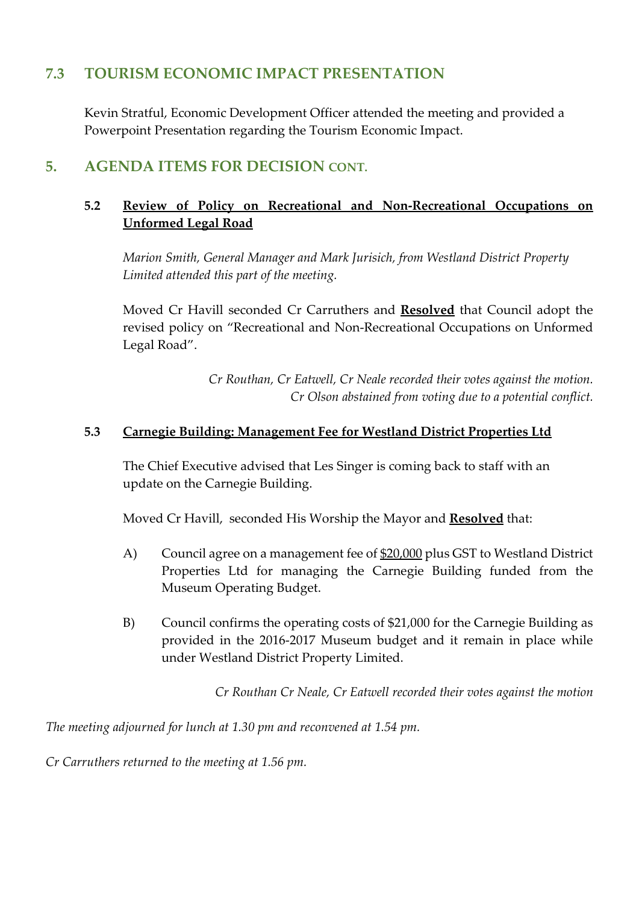## **7.3 TOURISM ECONOMIC IMPACT PRESENTATION**

Kevin Stratful, Economic Development Officer attended the meeting and provided a Powerpoint Presentation regarding the Tourism Economic Impact.

## **5. AGENDA ITEMS FOR DECISION CONT.**

#### **5.2 Review of Policy on Recreational and Non-Recreational Occupations on Unformed Legal Road**

*Marion Smith, General Manager and Mark Jurisich, from Westland District Property Limited attended this part of the meeting.* 

Moved Cr Havill seconded Cr Carruthers and **Resolved** that Council adopt the revised policy on "Recreational and Non-Recreational Occupations on Unformed Legal Road".

> *Cr Routhan, Cr Eatwell, Cr Neale recorded their votes against the motion. Cr Olson abstained from voting due to a potential conflict.*

#### **5.3 Carnegie Building: Management Fee for Westland District Properties Ltd**

The Chief Executive advised that Les Singer is coming back to staff with an update on the Carnegie Building.

Moved Cr Havill, seconded His Worship the Mayor and **Resolved** that:

- A) Council agree on a management fee of \$20,000 plus GST to Westland District Properties Ltd for managing the Carnegie Building funded from the Museum Operating Budget.
- B) Council confirms the operating costs of \$21,000 for the Carnegie Building as provided in the 2016-2017 Museum budget and it remain in place while under Westland District Property Limited.

*Cr Routhan Cr Neale, Cr Eatwell recorded their votes against the motion* 

*The meeting adjourned for lunch at 1.30 pm and reconvened at 1.54 pm.* 

*Cr Carruthers returned to the meeting at 1.56 pm.*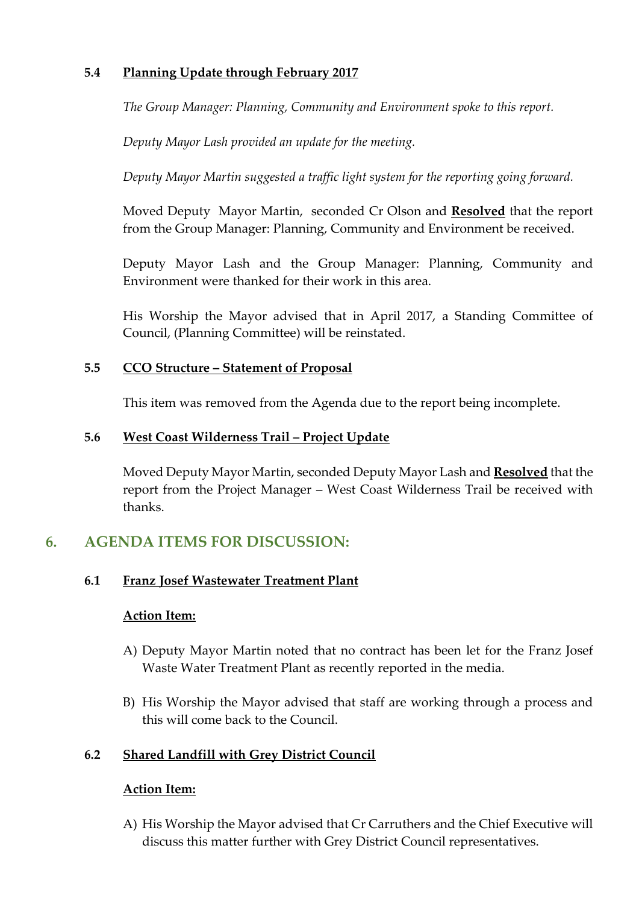#### **5.4 Planning Update through February 2017**

*The Group Manager: Planning, Community and Environment spoke to this report.* 

*Deputy Mayor Lash provided an update for the meeting.* 

*Deputy Mayor Martin suggested a traffic light system for the reporting going forward.* 

Moved Deputy Mayor Martin, seconded Cr Olson and **Resolved** that the report from the Group Manager: Planning, Community and Environment be received.

Deputy Mayor Lash and the Group Manager: Planning, Community and Environment were thanked for their work in this area.

His Worship the Mayor advised that in April 2017, a Standing Committee of Council, (Planning Committee) will be reinstated.

#### **5.5 CCO Structure – Statement of Proposal**

This item was removed from the Agenda due to the report being incomplete.

#### **5.6 West Coast Wilderness Trail – Project Update**

Moved Deputy Mayor Martin, seconded Deputy Mayor Lash and **Resolved** that the report from the Project Manager – West Coast Wilderness Trail be received with thanks.

## **6. AGENDA ITEMS FOR DISCUSSION:**

#### **6.1 Franz Josef Wastewater Treatment Plant**

#### **Action Item:**

- A) Deputy Mayor Martin noted that no contract has been let for the Franz Josef Waste Water Treatment Plant as recently reported in the media.
- B) His Worship the Mayor advised that staff are working through a process and this will come back to the Council.

#### **6.2 Shared Landfill with Grey District Council**

#### **Action Item:**

A) His Worship the Mayor advised that Cr Carruthers and the Chief Executive will discuss this matter further with Grey District Council representatives.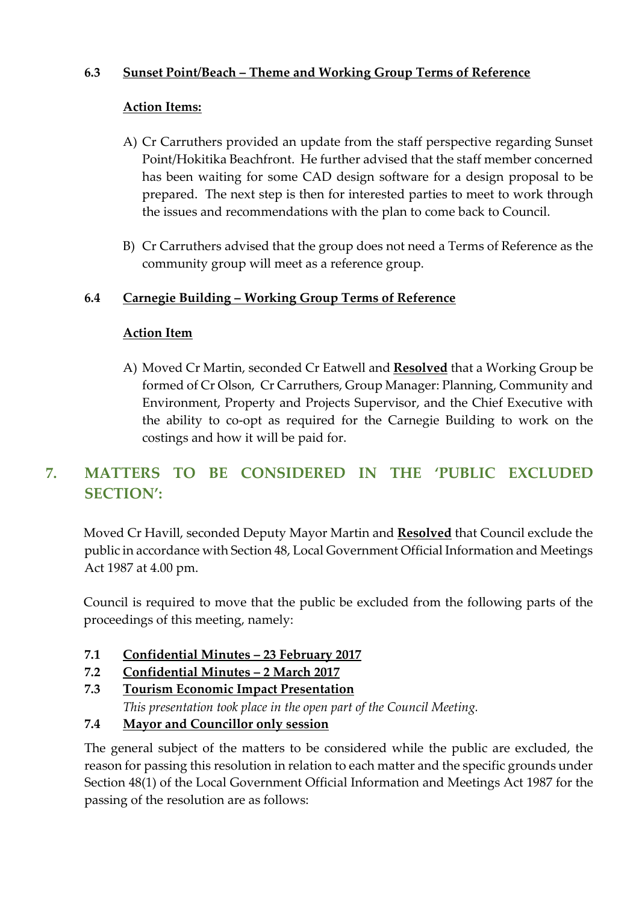#### **6.3 Sunset Point/Beach – Theme and Working Group Terms of Reference**

#### **Action Items:**

- A) Cr Carruthers provided an update from the staff perspective regarding Sunset Point/Hokitika Beachfront. He further advised that the staff member concerned has been waiting for some CAD design software for a design proposal to be prepared. The next step is then for interested parties to meet to work through the issues and recommendations with the plan to come back to Council.
- B) Cr Carruthers advised that the group does not need a Terms of Reference as the community group will meet as a reference group.

#### **6.4 Carnegie Building – Working Group Terms of Reference**

#### **Action Item**

A) Moved Cr Martin, seconded Cr Eatwell and **Resolved** that a Working Group be formed of Cr Olson, Cr Carruthers, Group Manager: Planning, Community and Environment, Property and Projects Supervisor, and the Chief Executive with the ability to co-opt as required for the Carnegie Building to work on the costings and how it will be paid for.

## **7. MATTERS TO BE CONSIDERED IN THE 'PUBLIC EXCLUDED SECTION':**

Moved Cr Havill, seconded Deputy Mayor Martin and **Resolved** that Council exclude the public in accordance with Section 48, Local Government Official Information and Meetings Act 1987 at 4.00 pm.

Council is required to move that the public be excluded from the following parts of the proceedings of this meeting, namely:

- **7.1 Confidential Minutes 23 February 2017**
- **7.2 Confidential Minutes 2 March 2017**
- **7.3 Tourism Economic Impact Presentation**  *This presentation took place in the open part of the Council Meeting.*
- **7.4 Mayor and Councillor only session**

The general subject of the matters to be considered while the public are excluded, the reason for passing this resolution in relation to each matter and the specific grounds under Section 48(1) of the Local Government Official Information and Meetings Act 1987 for the passing of the resolution are as follows: